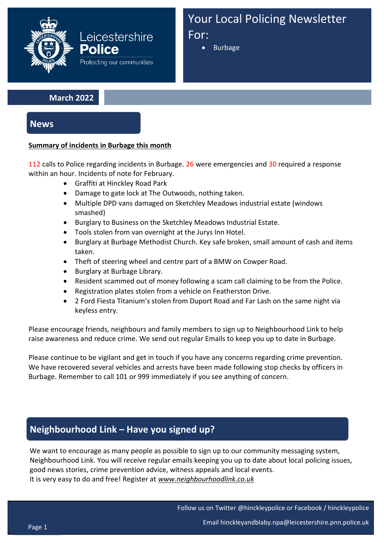

Your Local Policing Newsletter For:

• Burbage

### **March 2022**

**News**

#### **Summary of incidents in Burbage this month**

112 calls to Police regarding incidents in Burbage. 26 were emergencies and 30 required a response within an hour. Incidents of note for February.

- Graffiti at Hinckley Road Park
- Damage to gate lock at The Outwoods, nothing taken.
- Multiple DPD vans damaged on Sketchley Meadows industrial estate (windows smashed)
- Burglary to Business on the Sketchley Meadows Industrial Estate.
- Tools stolen from van overnight at the Jurys Inn Hotel.
- Burglary at Burbage Methodist Church. Key safe broken, small amount of cash and items taken.
- Theft of steering wheel and centre part of a BMW on Cowper Road.
- Burglary at Burbage Library.
- Resident scammed out of money following a scam call claiming to be from the Police.
- Registration plates stolen from a vehicle on Featherston Drive.
- 2 Ford Fiesta Titanium's stolen from Duport Road and Far Lash on the same night via keyless entry.

Please encourage friends, neighbours and family members to sign up to Neighbourhood Link to help raise awareness and reduce crime. We send out regular Emails to keep you up to date in Burbage.

Please continue to be vigilant and get in touch if you have any concerns regarding crime prevention. We have recovered several vehicles and arrests have been made following stop checks by officers in Burbage. Remember to call 101 or 999 immediately if you see anything of concern.

# **Neighbourhood Link – Have you signed up?**

We want to encourage as many people as possible to sign up to our community messaging system, Neighbourhood Link. You will receive regular emails keeping you up to date about local policing issues, good news stories, crime prevention advice, witness appeals and local events. It is very easy to do and free! Register at *www.neighbourhoodlink.co.uk*

Follow us on Twitter @hinckleypolice or Facebook / hinckleypolice

Email hinckleyandblaby.npa@leicestershire.pnn.police.uk